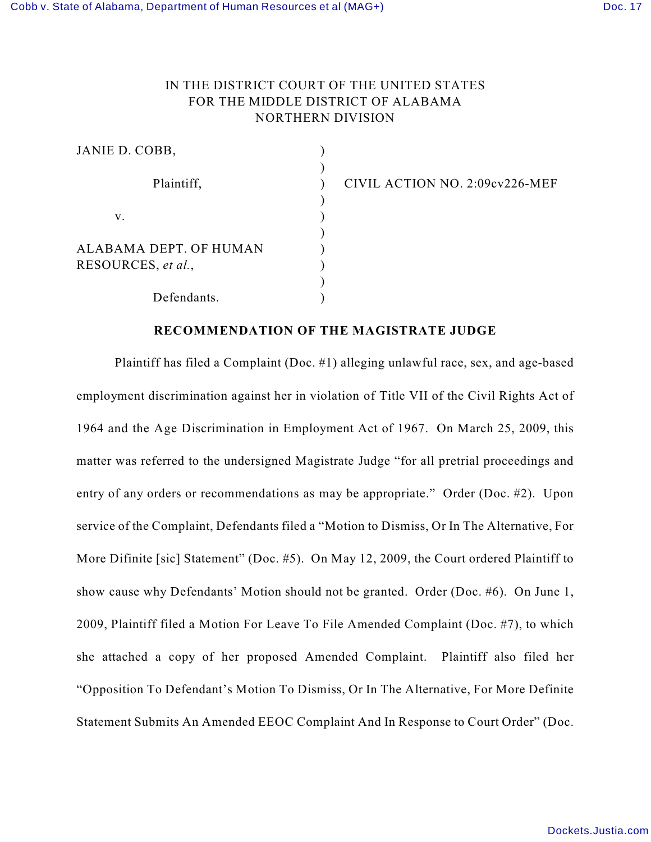## IN THE DISTRICT COURT OF THE UNITED STATES FOR THE MIDDLE DISTRICT OF ALABAMA NORTHERN DIVISION

| JANIE D. COBB,                               |  |
|----------------------------------------------|--|
| Plaintiff,                                   |  |
| V.                                           |  |
| ALABAMA DEPT. OF HUMAN<br>RESOURCES, et al., |  |
| Defendants.                                  |  |

CIVIL ACTION NO. 2:09cv226-MEF

## **RECOMMENDATION OF THE MAGISTRATE JUDGE**

Plaintiff has filed a Complaint (Doc. #1) alleging unlawful race, sex, and age-based employment discrimination against her in violation of Title VII of the Civil Rights Act of 1964 and the Age Discrimination in Employment Act of 1967. On March 25, 2009, this matter was referred to the undersigned Magistrate Judge "for all pretrial proceedings and entry of any orders or recommendations as may be appropriate." Order (Doc. #2). Upon service of the Complaint, Defendants filed a "Motion to Dismiss, Or In The Alternative, For More Difinite [sic] Statement" (Doc. #5). On May 12, 2009, the Court ordered Plaintiff to show cause why Defendants' Motion should not be granted. Order (Doc. #6). On June 1, 2009, Plaintiff filed a Motion For Leave To File Amended Complaint (Doc. #7), to which she attached a copy of her proposed Amended Complaint. Plaintiff also filed her "Opposition To Defendant's Motion To Dismiss, Or In The Alternative, For More Definite Statement Submits An Amended EEOC Complaint And In Response to Court Order" (Doc.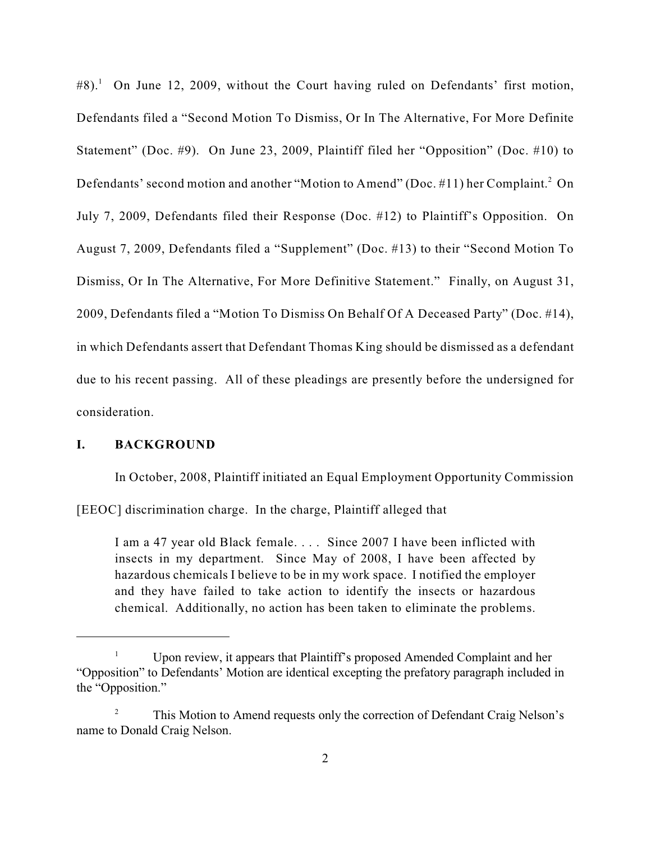$#8$ ).<sup>1</sup> On June 12, 2009, without the Court having ruled on Defendants' first motion, Defendants filed a "Second Motion To Dismiss, Or In The Alternative, For More Definite Statement" (Doc. #9). On June 23, 2009, Plaintiff filed her "Opposition" (Doc. #10) to Defendants' second motion and another "Motion to Amend" (Doc.  $\#11$ ) her Complaint.<sup>2</sup> On July 7, 2009, Defendants filed their Response (Doc. #12) to Plaintiff's Opposition. On August 7, 2009, Defendants filed a "Supplement" (Doc. #13) to their "Second Motion To Dismiss, Or In The Alternative, For More Definitive Statement." Finally, on August 31, 2009, Defendants filed a "Motion To Dismiss On Behalf Of A Deceased Party" (Doc. #14), in which Defendants assert that Defendant Thomas King should be dismissed as a defendant due to his recent passing. All of these pleadings are presently before the undersigned for consideration.

## **I. BACKGROUND**

In October, 2008, Plaintiff initiated an Equal Employment Opportunity Commission

[EEOC] discrimination charge. In the charge, Plaintiff alleged that

I am a 47 year old Black female. . . . Since 2007 I have been inflicted with insects in my department. Since May of 2008, I have been affected by hazardous chemicals I believe to be in my work space. I notified the employer and they have failed to take action to identify the insects or hazardous chemical. Additionally, no action has been taken to eliminate the problems.

Upon review, it appears that Plaintiff's proposed Amended Complaint and her <sup>1</sup> "Opposition" to Defendants' Motion are identical excepting the prefatory paragraph included in the "Opposition."

<sup>&</sup>lt;sup>2</sup> This Motion to Amend requests only the correction of Defendant Craig Nelson's name to Donald Craig Nelson.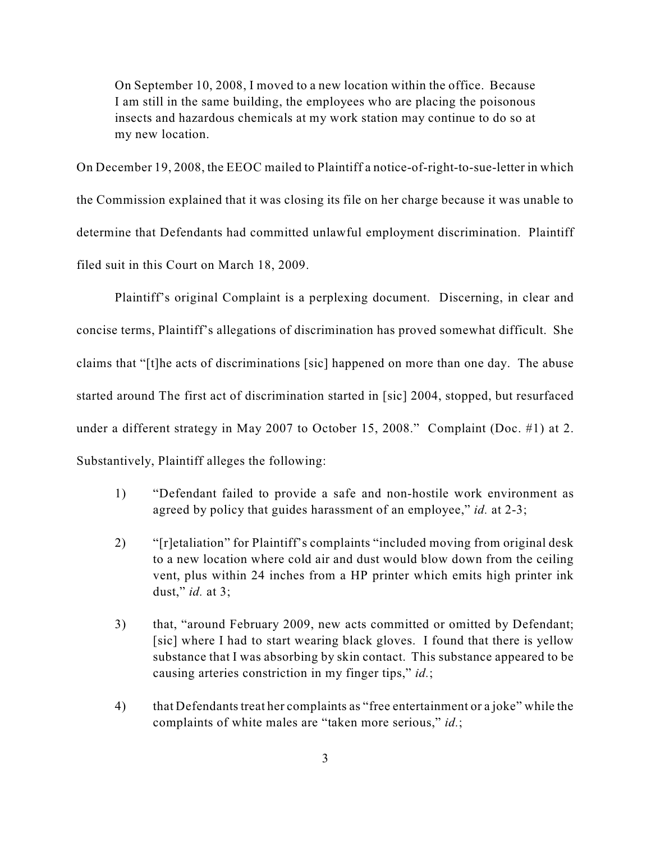On September 10, 2008, I moved to a new location within the office. Because I am still in the same building, the employees who are placing the poisonous insects and hazardous chemicals at my work station may continue to do so at my new location.

On December 19, 2008, the EEOC mailed to Plaintiff a notice-of-right-to-sue-letter in which the Commission explained that it was closing its file on her charge because it was unable to determine that Defendants had committed unlawful employment discrimination. Plaintiff filed suit in this Court on March 18, 2009.

Plaintiff's original Complaint is a perplexing document. Discerning, in clear and concise terms, Plaintiff's allegations of discrimination has proved somewhat difficult. She claims that "[t]he acts of discriminations [sic] happened on more than one day. The abuse started around The first act of discrimination started in [sic] 2004, stopped, but resurfaced under a different strategy in May 2007 to October 15, 2008." Complaint (Doc. #1) at 2. Substantively, Plaintiff alleges the following:

- 1) "Defendant failed to provide a safe and non-hostile work environment as agreed by policy that guides harassment of an employee," *id.* at 2-3;
- 2) "[r]etaliation" for Plaintiff's complaints "included moving from original desk to a new location where cold air and dust would blow down from the ceiling vent, plus within 24 inches from a HP printer which emits high printer ink dust," *id.* at 3;
- 3) that, "around February 2009, new acts committed or omitted by Defendant; [sic] where I had to start wearing black gloves. I found that there is yellow substance that I was absorbing by skin contact. This substance appeared to be causing arteries constriction in my finger tips," *id.*;
- 4) that Defendants treat her complaints as "free entertainment or a joke" while the complaints of white males are "taken more serious," *id.*;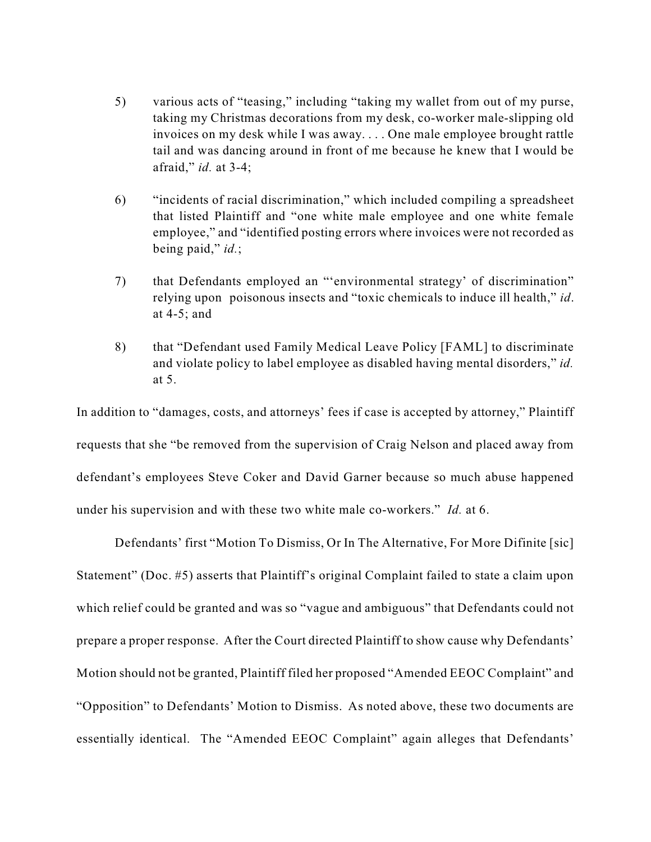- 5) various acts of "teasing," including "taking my wallet from out of my purse, taking my Christmas decorations from my desk, co-worker male-slipping old invoices on my desk while I was away. . . . One male employee brought rattle tail and was dancing around in front of me because he knew that I would be afraid," *id.* at 3-4;
- 6) "incidents of racial discrimination," which included compiling a spreadsheet that listed Plaintiff and "one white male employee and one white female employee," and "identified posting errors where invoices were not recorded as being paid," *id.*;
- 7) that Defendants employed an "'environmental strategy' of discrimination" relying upon poisonous insects and "toxic chemicals to induce ill health," *id*. at 4-5; and
- 8) that "Defendant used Family Medical Leave Policy [FAML] to discriminate and violate policy to label employee as disabled having mental disorders," *id.* at 5.

In addition to "damages, costs, and attorneys' fees if case is accepted by attorney," Plaintiff requests that she "be removed from the supervision of Craig Nelson and placed away from defendant's employees Steve Coker and David Garner because so much abuse happened under his supervision and with these two white male co-workers." *Id.* at 6.

Defendants' first "Motion To Dismiss, Or In The Alternative, For More Difinite [sic] Statement" (Doc. #5) asserts that Plaintiff's original Complaint failed to state a claim upon which relief could be granted and was so "vague and ambiguous" that Defendants could not prepare a proper response. After the Court directed Plaintiff to show cause why Defendants' Motion should not be granted, Plaintiff filed her proposed "Amended EEOC Complaint" and "Opposition" to Defendants' Motion to Dismiss. As noted above, these two documents are essentially identical. The "Amended EEOC Complaint" again alleges that Defendants'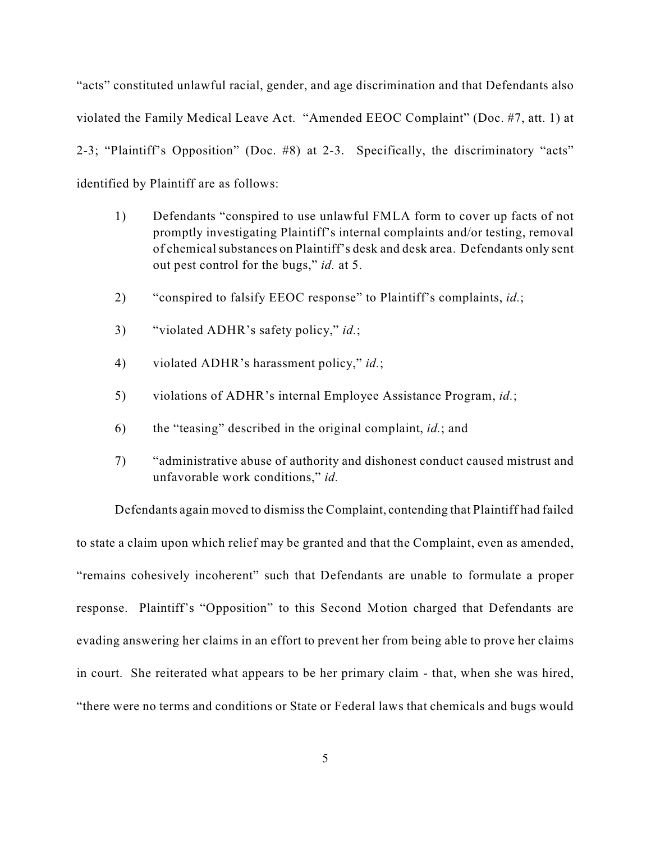"acts" constituted unlawful racial, gender, and age discrimination and that Defendants also violated the Family Medical Leave Act. "Amended EEOC Complaint" (Doc. #7, att. 1) at 2-3; "Plaintiff's Opposition" (Doc. #8) at 2-3. Specifically, the discriminatory "acts" identified by Plaintiff are as follows:

- 1) Defendants "conspired to use unlawful FMLA form to cover up facts of not promptly investigating Plaintiff's internal complaints and/or testing, removal of chemical substances on Plaintiff's desk and desk area. Defendants only sent out pest control for the bugs," *id.* at 5.
- 2) "conspired to falsify EEOC response" to Plaintiff's complaints, *id.*;
- 3) "violated ADHR's safety policy," *id.*;
- 4) violated ADHR's harassment policy," *id.*;
- 5) violations of ADHR's internal Employee Assistance Program, *id.*;
- 6) the "teasing" described in the original complaint, *id.*; and
- 7) "administrative abuse of authority and dishonest conduct caused mistrust and unfavorable work conditions," *id.*

Defendants again moved to dismiss the Complaint, contending that Plaintiff had failed to state a claim upon which relief may be granted and that the Complaint, even as amended, "remains cohesively incoherent" such that Defendants are unable to formulate a proper response. Plaintiff's "Opposition" to this Second Motion charged that Defendants are evading answering her claims in an effort to prevent her from being able to prove her claims in court. She reiterated what appears to be her primary claim - that, when she was hired, "there were no terms and conditions or State or Federal laws that chemicals and bugs would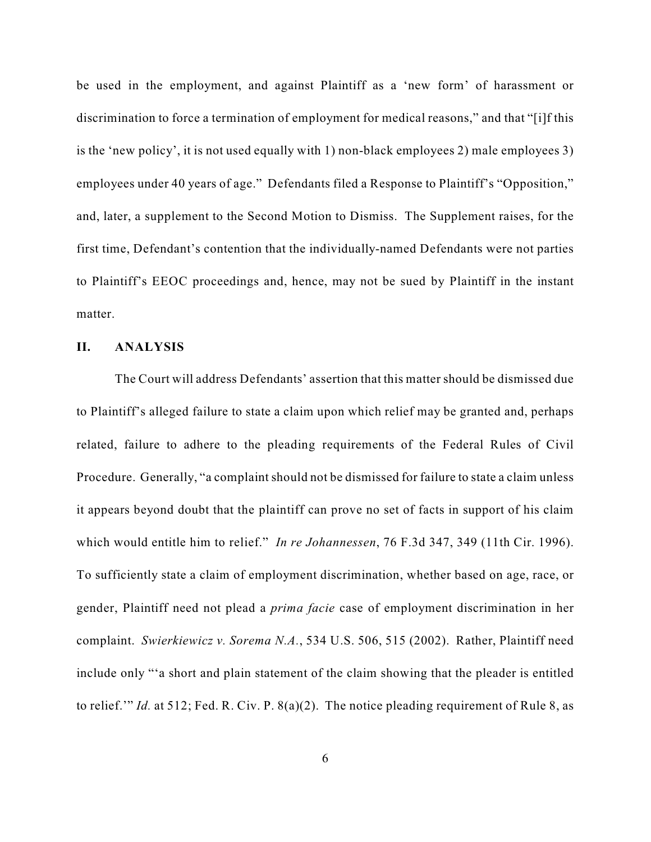be used in the employment, and against Plaintiff as a 'new form' of harassment or discrimination to force a termination of employment for medical reasons," and that "[i]f this is the 'new policy', it is not used equally with 1) non-black employees 2) male employees 3) employees under 40 years of age." Defendants filed a Response to Plaintiff's "Opposition," and, later, a supplement to the Second Motion to Dismiss. The Supplement raises, for the first time, Defendant's contention that the individually-named Defendants were not parties to Plaintiff's EEOC proceedings and, hence, may not be sued by Plaintiff in the instant matter.

## **II. ANALYSIS**

The Court will address Defendants' assertion that this matter should be dismissed due to Plaintiff's alleged failure to state a claim upon which relief may be granted and, perhaps related, failure to adhere to the pleading requirements of the Federal Rules of Civil Procedure. Generally, "a complaint should not be dismissed for failure to state a claim unless it appears beyond doubt that the plaintiff can prove no set of facts in support of his claim which would entitle him to relief." *In re Johannessen*, 76 F.3d 347, 349 (11th Cir. 1996). To sufficiently state a claim of employment discrimination, whether based on age, race, or gender, Plaintiff need not plead a *prima facie* case of employment discrimination in her complaint. *Swierkiewicz v. Sorema N.A.*, 534 U.S. 506, 515 (2002). Rather, Plaintiff need include only "'a short and plain statement of the claim showing that the pleader is entitled to relief.'" *Id.* at 512; Fed. R. Civ. P. 8(a)(2). The notice pleading requirement of Rule 8, as

6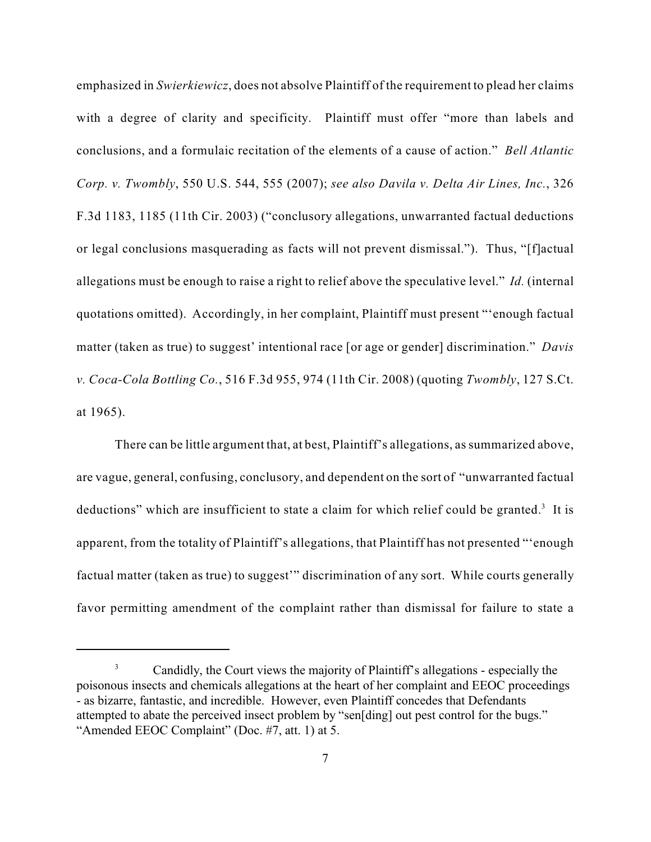emphasized in *Swierkiewicz*, does not absolve Plaintiff of the requirement to plead her claims with a degree of clarity and specificity. Plaintiff must offer "more than labels and conclusions, and a formulaic recitation of the elements of a cause of action." *Bell Atlantic Corp. v. Twombly*, 550 U.S. 544, 555 (2007); *see also Davila v. Delta Air Lines, Inc.*, 326 F.3d 1183, 1185 (11th Cir. 2003) ("conclusory allegations, unwarranted factual deductions or legal conclusions masquerading as facts will not prevent dismissal."). Thus, "[f]actual allegations must be enough to raise a right to relief above the speculative level." *Id.* (internal quotations omitted). Accordingly, in her complaint, Plaintiff must present "'enough factual matter (taken as true) to suggest' intentional race [or age or gender] discrimination." *Davis v. Coca-Cola Bottling Co.*, 516 F.3d 955, 974 (11th Cir. 2008) (quoting *Twombly*, 127 S.Ct. at 1965).

There can be little argument that, at best, Plaintiff's allegations, as summarized above, are vague, general, confusing, conclusory, and dependent on the sort of "unwarranted factual deductions" which are insufficient to state a claim for which relief could be granted.<sup>3</sup> It is apparent, from the totality of Plaintiff's allegations, that Plaintiff has not presented "'enough factual matter (taken as true) to suggest" discrimination of any sort. While courts generally favor permitting amendment of the complaint rather than dismissal for failure to state a

<sup>&</sup>lt;sup>3</sup> Candidly, the Court views the majority of Plaintiff's allegations - especially the poisonous insects and chemicals allegations at the heart of her complaint and EEOC proceedings - as bizarre, fantastic, and incredible. However, even Plaintiff concedes that Defendants attempted to abate the perceived insect problem by "sen[ding] out pest control for the bugs." "Amended EEOC Complaint" (Doc. #7, att. 1) at 5.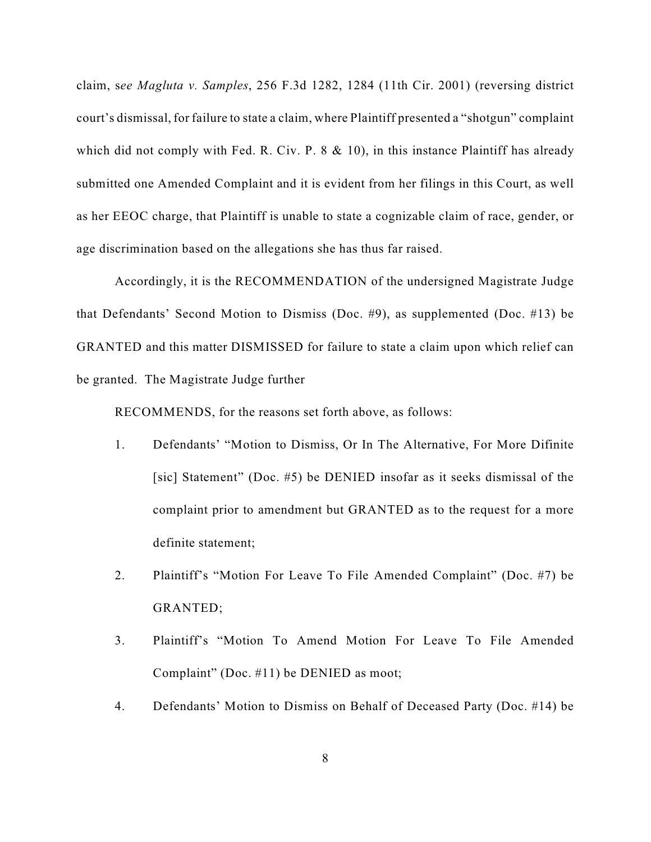claim, s*ee Magluta v. Samples*, 256 F.3d 1282, 1284 (11th Cir. 2001) (reversing district court's dismissal, for failure to state a claim, where Plaintiff presented a "shotgun" complaint which did not comply with Fed. R. Civ. P. 8 & 10), in this instance Plaintiff has already submitted one Amended Complaint and it is evident from her filings in this Court, as well as her EEOC charge, that Plaintiff is unable to state a cognizable claim of race, gender, or age discrimination based on the allegations she has thus far raised.

Accordingly, it is the RECOMMENDATION of the undersigned Magistrate Judge that Defendants' Second Motion to Dismiss (Doc. #9), as supplemented (Doc. #13) be GRANTED and this matter DISMISSED for failure to state a claim upon which relief can be granted. The Magistrate Judge further

RECOMMENDS, for the reasons set forth above, as follows:

- 1. Defendants' "Motion to Dismiss, Or In The Alternative, For More Difinite [sic] Statement" (Doc. #5) be DENIED insofar as it seeks dismissal of the complaint prior to amendment but GRANTED as to the request for a more definite statement;
- 2. Plaintiff's "Motion For Leave To File Amended Complaint" (Doc. #7) be GRANTED;
- 3. Plaintiff's "Motion To Amend Motion For Leave To File Amended Complaint" (Doc. #11) be DENIED as moot;
- 4. Defendants' Motion to Dismiss on Behalf of Deceased Party (Doc. #14) be